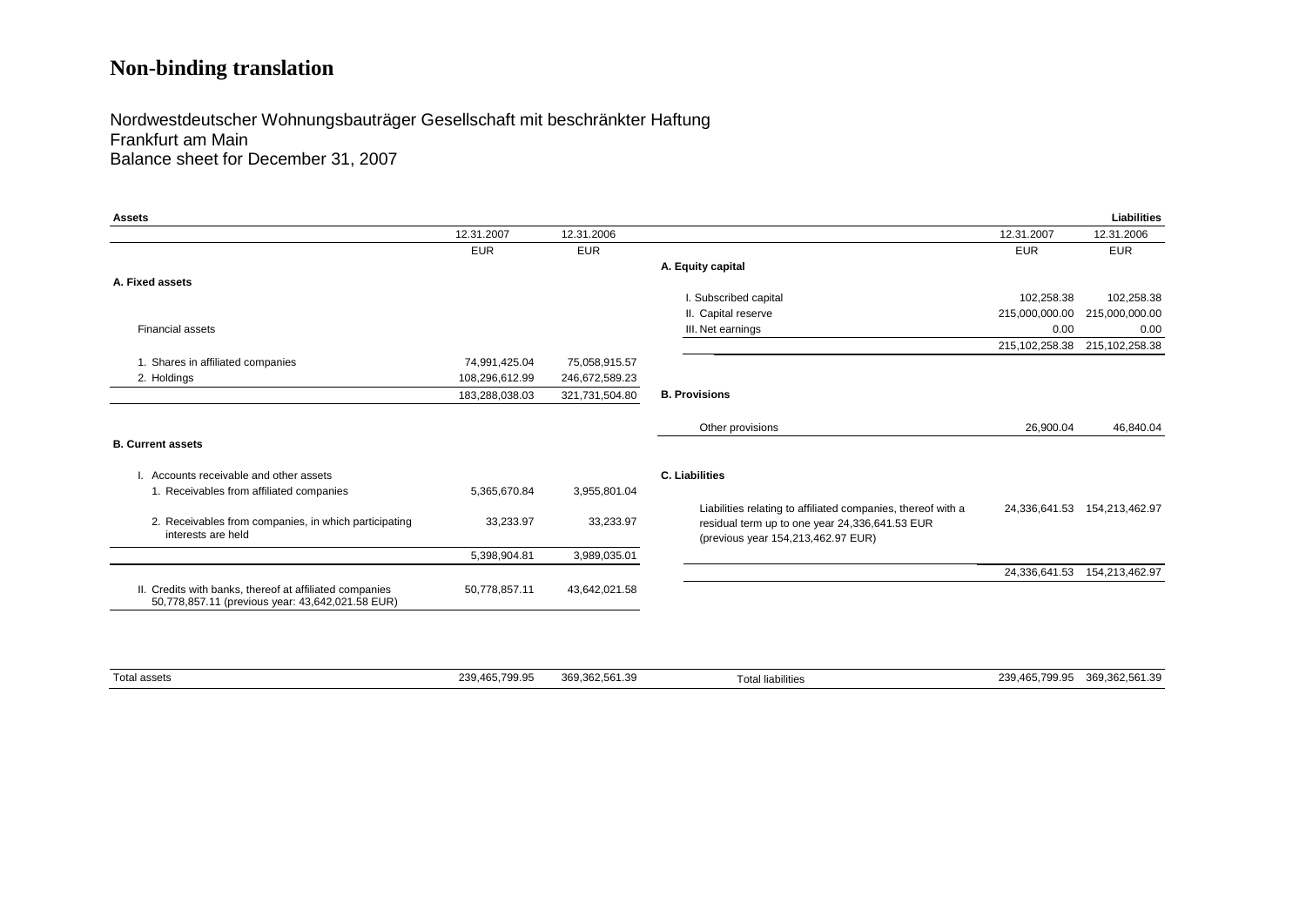## **Non-binding translation**

Nordwestdeutscher Wohnungsbauträger Gesellschaft mit beschränkter Haftung Frankfurt am Main Balance sheet for December 31, 2007

| <b>Assets</b>                                                                                               |                |                |                                                                                      |                  | <b>Liabilities</b>           |
|-------------------------------------------------------------------------------------------------------------|----------------|----------------|--------------------------------------------------------------------------------------|------------------|------------------------------|
|                                                                                                             | 12.31.2007     | 12.31.2006     |                                                                                      | 12.31.2007       | 12.31.2006                   |
|                                                                                                             | <b>EUR</b>     | <b>EUR</b>     |                                                                                      | <b>EUR</b>       | <b>EUR</b>                   |
|                                                                                                             |                |                | A. Equity capital                                                                    |                  |                              |
| A. Fixed assets                                                                                             |                |                |                                                                                      |                  |                              |
|                                                                                                             |                |                | I. Subscribed capital                                                                | 102,258.38       | 102,258.38                   |
|                                                                                                             |                |                | II. Capital reserve                                                                  | 215,000,000.00   | 215,000,000.00               |
| <b>Financial assets</b>                                                                                     |                |                | III. Net earnings                                                                    | 0.00             | 0.00                         |
|                                                                                                             |                |                |                                                                                      | 215, 102, 258.38 | 215, 102, 258.38             |
| 1. Shares in affiliated companies                                                                           | 74,991,425.04  | 75,058,915.57  |                                                                                      |                  |                              |
| 2. Holdings                                                                                                 | 108,296,612.99 | 246,672,589.23 |                                                                                      |                  |                              |
|                                                                                                             | 183,288,038.03 | 321,731,504.80 | <b>B. Provisions</b>                                                                 |                  |                              |
|                                                                                                             |                |                | Other provisions                                                                     | 26,900.04        | 46,840.04                    |
| <b>B. Current assets</b>                                                                                    |                |                |                                                                                      |                  |                              |
| Accounts receivable and other assets                                                                        |                |                | <b>C. Liabilities</b>                                                                |                  |                              |
| 1. Receivables from affiliated companies                                                                    | 5,365,670.84   | 3,955,801.04   |                                                                                      |                  |                              |
|                                                                                                             |                |                | Liabilities relating to affiliated companies, thereof with a                         |                  | 24.336.641.53 154.213.462.97 |
| 2. Receivables from companies, in which participating<br>interests are held                                 | 33,233.97      | 33,233.97      | residual term up to one year 24,336,641.53 EUR<br>(previous year 154,213,462.97 EUR) |                  |                              |
|                                                                                                             | 5,398,904.81   | 3,989,035.01   |                                                                                      |                  |                              |
|                                                                                                             |                |                |                                                                                      | 24,336,641.53    | 154,213,462.97               |
| II. Credits with banks, thereof at affiliated companies<br>50,778,857.11 (previous year: 43,642,021.58 EUR) | 50,778,857.11  | 43,642,021.58  |                                                                                      |                  |                              |

| Total assets | 700.05<br>nno<br>239.465.7<br><i>Lw</i><br>-99.99 | 369.362.561.39 | .<br>⊺otal liabilities | 0.00000100<br>20 JAF<br>ີ<br>369.<br>700<br>309.302.501.39<br>1.71.<br>T 7 |
|--------------|---------------------------------------------------|----------------|------------------------|----------------------------------------------------------------------------|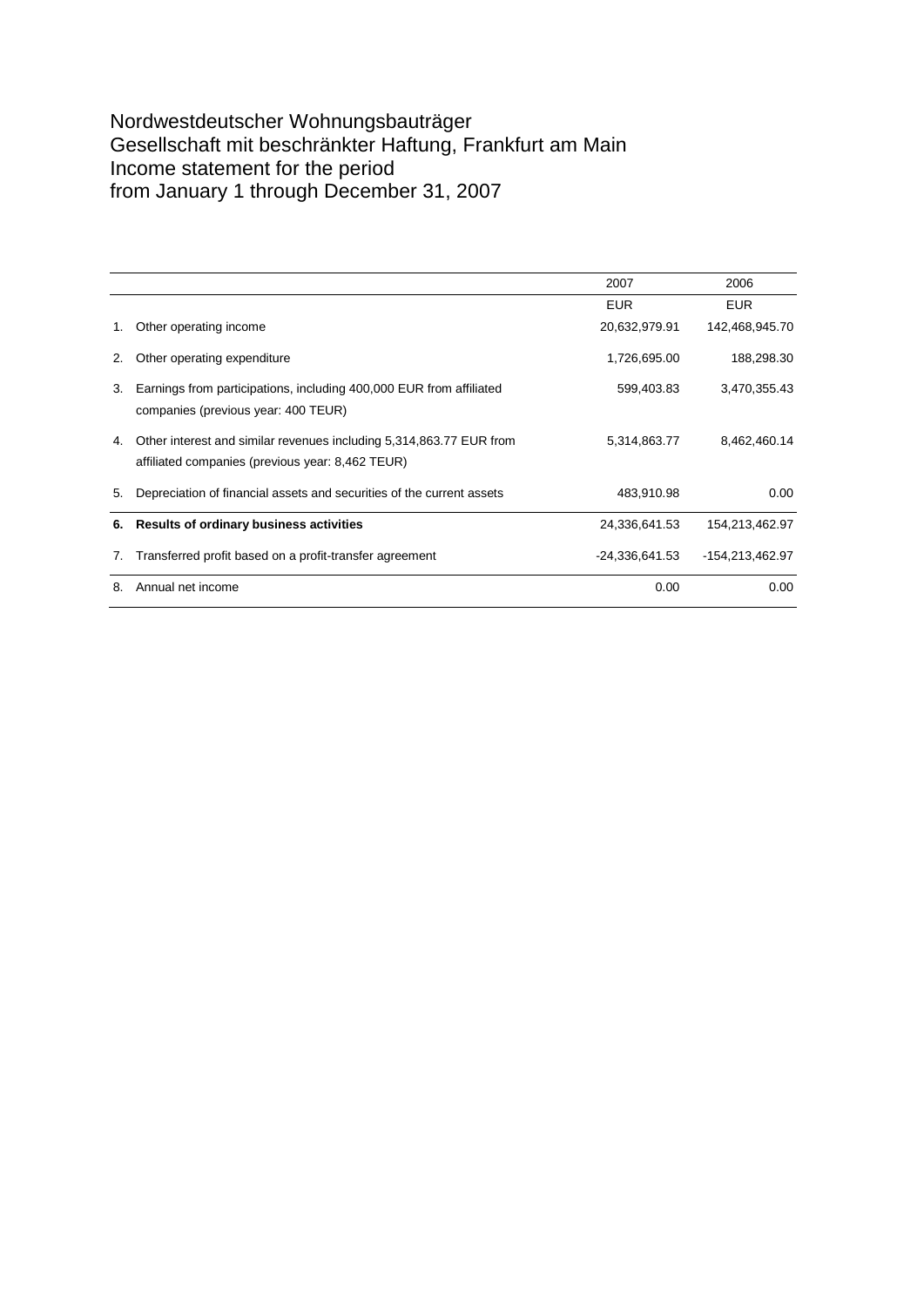### Nordwestdeutscher Wohnungsbauträger Gesellschaft mit beschränkter Haftung, Frankfurt am Main Income statement for the period from January 1 through December 31, 2007

|    |                                                                                                                         | 2007             | 2006            |
|----|-------------------------------------------------------------------------------------------------------------------------|------------------|-----------------|
|    |                                                                                                                         | <b>EUR</b>       | <b>EUR</b>      |
| 1. | Other operating income                                                                                                  | 20,632,979.91    | 142,468,945.70  |
| 2. | Other operating expenditure                                                                                             | 1,726,695.00     | 188,298.30      |
| 3. | Earnings from participations, including 400,000 EUR from affiliated<br>companies (previous year: 400 TEUR)              | 599,403.83       | 3,470,355.43    |
| 4. | Other interest and similar revenues including 5,314,863.77 EUR from<br>affiliated companies (previous year: 8,462 TEUR) | 5,314,863.77     | 8,462,460.14    |
| 5. | Depreciation of financial assets and securities of the current assets                                                   | 483,910.98       | 0.00            |
| 6. | <b>Results of ordinary business activities</b>                                                                          | 24,336,641.53    | 154,213,462.97  |
| 7. | Transferred profit based on a profit-transfer agreement                                                                 | $-24,336,641.53$ | -154,213,462.97 |
| 8. | Annual net income                                                                                                       | 0.00             | 0.00            |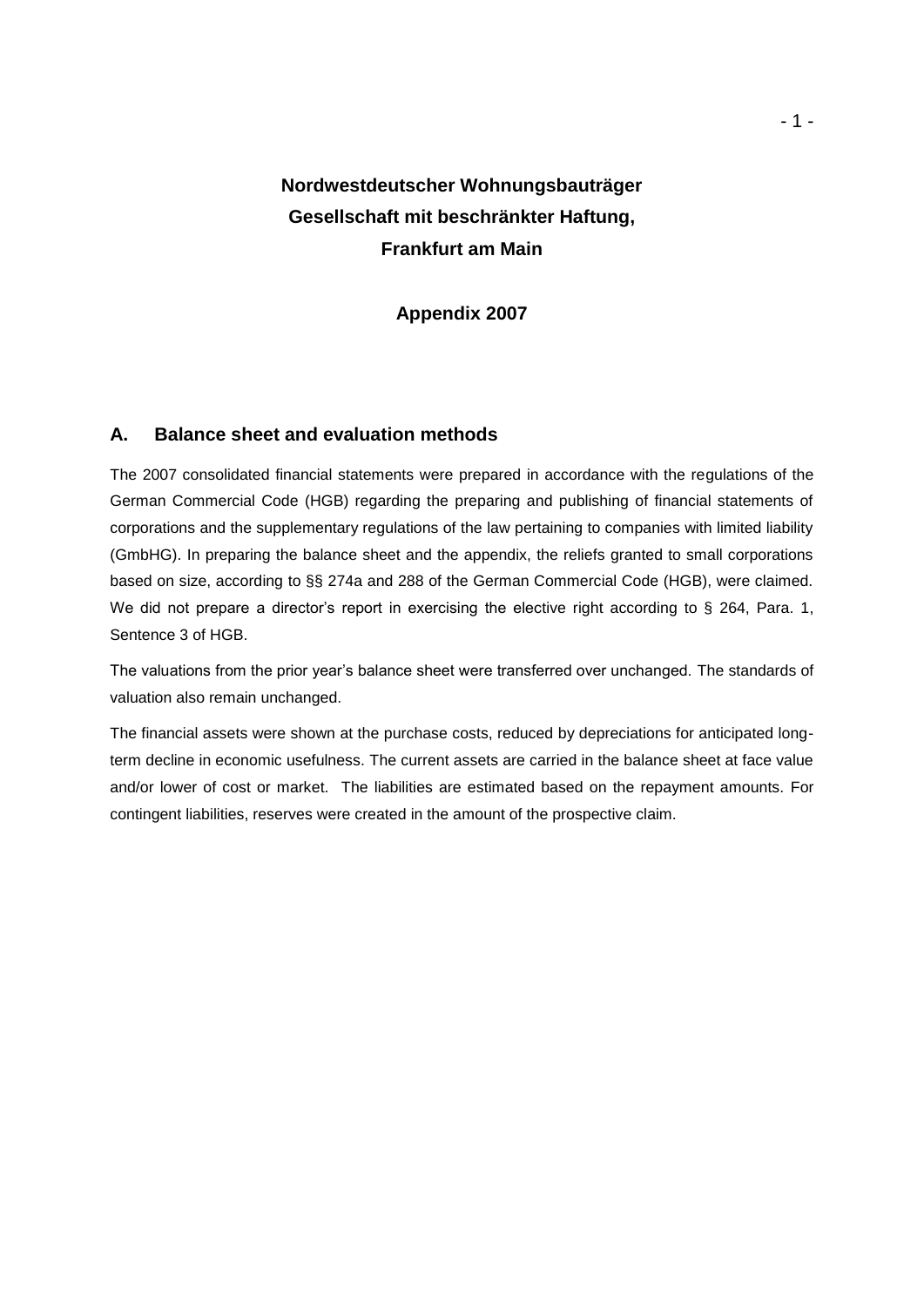## **Nordwestdeutscher Wohnungsbauträger Gesellschaft mit beschränkter Haftung, Frankfurt am Main**

#### **Appendix 2007**

#### **A. Balance sheet and evaluation methods**

The 2007 consolidated financial statements were prepared in accordance with the regulations of the German Commercial Code (HGB) regarding the preparing and publishing of financial statements of corporations and the supplementary regulations of the law pertaining to companies with limited liability (GmbHG). In preparing the balance sheet and the appendix, the reliefs granted to small corporations based on size, according to §§ 274a and 288 of the German Commercial Code (HGB), were claimed. We did not prepare a director's report in exercising the elective right according to § 264, Para. 1, Sentence 3 of HGB.

The valuations from the prior year's balance sheet were transferred over unchanged. The standards of valuation also remain unchanged.

The financial assets were shown at the purchase costs, reduced by depreciations for anticipated longterm decline in economic usefulness. The current assets are carried in the balance sheet at face value and/or lower of cost or market. The liabilities are estimated based on the repayment amounts. For contingent liabilities, reserves were created in the amount of the prospective claim.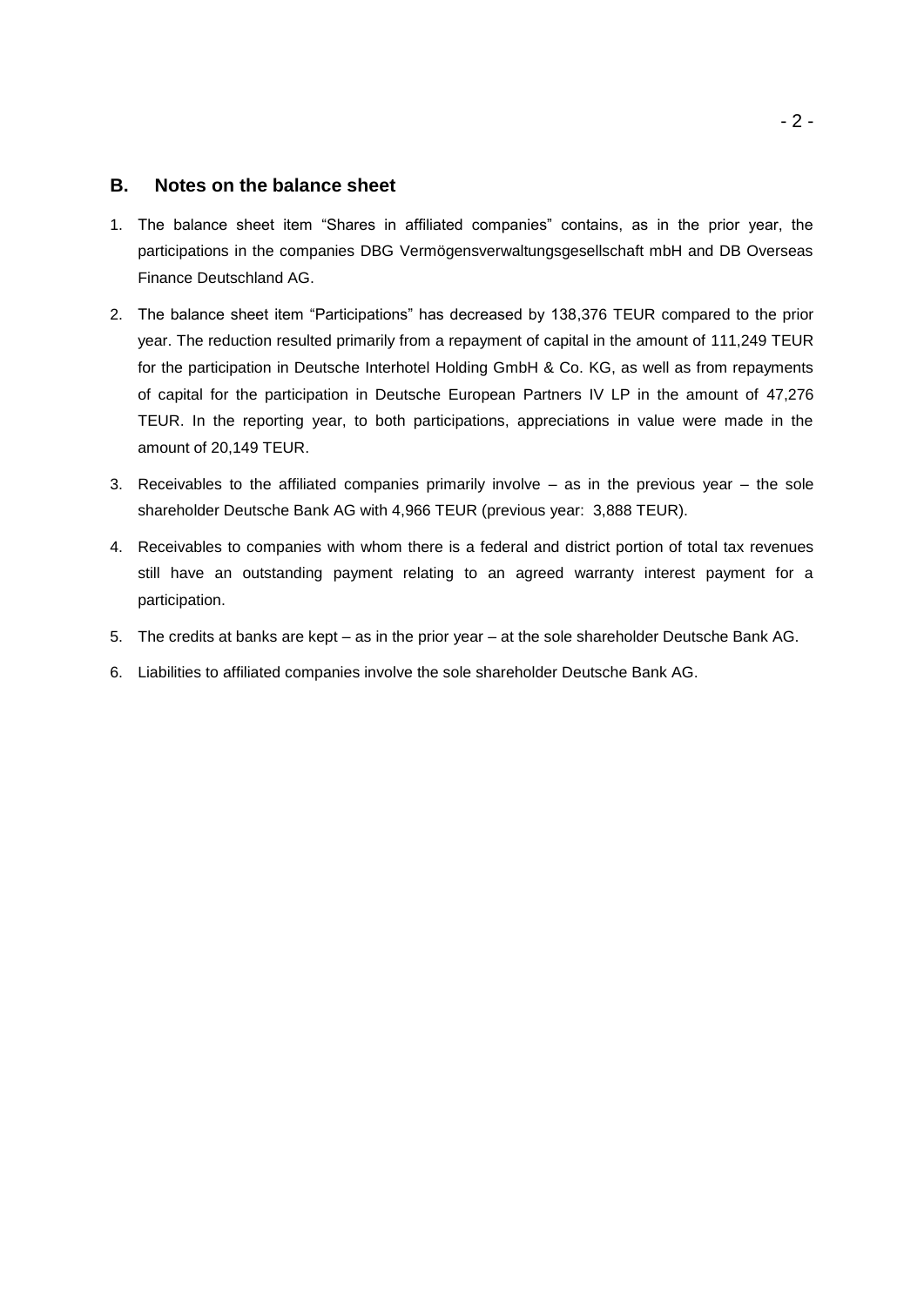#### **B. Notes on the balance sheet**

- 1. The balance sheet item "Shares in affiliated companies" contains, as in the prior year, the participations in the companies DBG Vermögensverwaltungsgesellschaft mbH and DB Overseas Finance Deutschland AG.
- 2. The balance sheet item "Participations" has decreased by 138,376 TEUR compared to the prior year. The reduction resulted primarily from a repayment of capital in the amount of 111,249 TEUR for the participation in Deutsche Interhotel Holding GmbH & Co. KG, as well as from repayments of capital for the participation in Deutsche European Partners IV LP in the amount of 47,276 TEUR. In the reporting year, to both participations, appreciations in value were made in the amount of 20,149 TEUR.
- 3. Receivables to the affiliated companies primarily involve as in the previous year the sole shareholder Deutsche Bank AG with 4,966 TEUR (previous year: 3,888 TEUR).
- 4. Receivables to companies with whom there is a federal and district portion of total tax revenues still have an outstanding payment relating to an agreed warranty interest payment for a participation.
- 5. The credits at banks are kept as in the prior year at the sole shareholder Deutsche Bank AG.
- 6. Liabilities to affiliated companies involve the sole shareholder Deutsche Bank AG.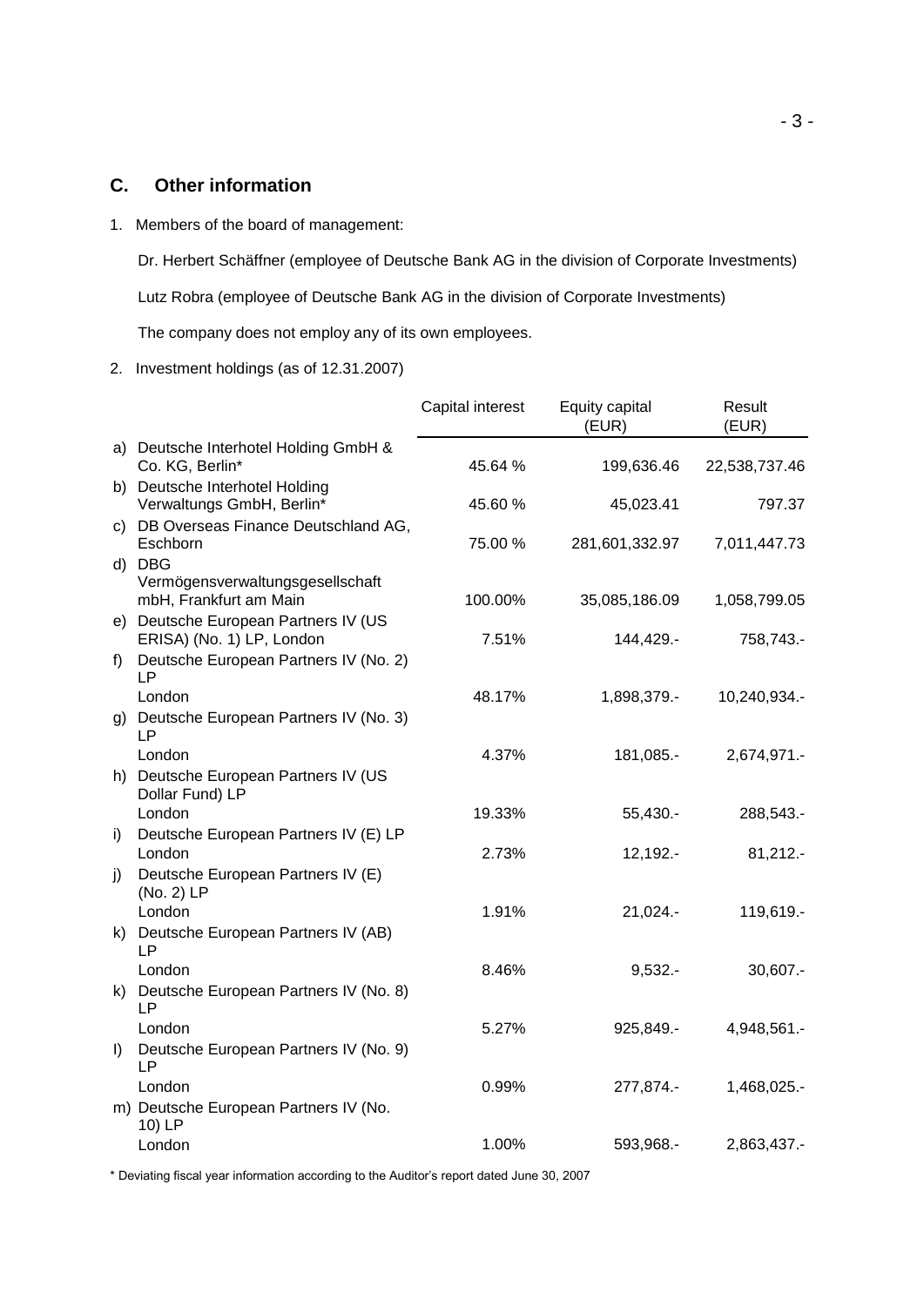#### **C. Other information**

1. Members of the board of management:

Dr. Herbert Schäffner (employee of Deutsche Bank AG in the division of Corporate Investments) Lutz Robra (employee of Deutsche Bank AG in the division of Corporate Investments) The company does not employ any of its own employees.

#### 2. Investment holdings (as of 12.31.2007)

|         |                                                                                             | Capital interest | Equity capital<br>(EUR)    | Result<br>(EUR)           |
|---------|---------------------------------------------------------------------------------------------|------------------|----------------------------|---------------------------|
|         | a) Deutsche Interhotel Holding GmbH &<br>Co. KG, Berlin*                                    | 45.64 %          | 199,636.46                 | 22,538,737.46             |
|         | b) Deutsche Interhotel Holding<br>Verwaltungs GmbH, Berlin*                                 | 45.60 %          | 45,023.41                  | 797.37                    |
|         | c) DB Overseas Finance Deutschland AG,<br>Eschborn                                          | 75.00 %          | 281,601,332.97             | 7,011,447.73              |
|         | d) DBG<br>Vermögensverwaltungsgesellschaft                                                  |                  |                            |                           |
|         | mbH, Frankfurt am Main<br>e) Deutsche European Partners IV (US<br>ERISA) (No. 1) LP, London | 100.00%<br>7.51% | 35,085,186.09<br>144,429.- | 1,058,799.05<br>758,743.- |
| f)      | Deutsche European Partners IV (No. 2)<br><b>LP</b>                                          |                  |                            |                           |
|         | London                                                                                      | 48.17%           | 1,898,379.-                | 10,240,934.-              |
| g)      | Deutsche European Partners IV (No. 3)<br>LP<br>London                                       | 4.37%            | 181,085.-                  | 2,674,971.-               |
|         | h) Deutsche European Partners IV (US<br>Dollar Fund) LP                                     |                  |                            |                           |
|         | London<br>Deutsche European Partners IV (E) LP                                              | 19.33%           | $55,430. -$                | 288,543.-                 |
| i)      | London                                                                                      | 2.73%            | $12,192. -$                | $81,212. -$               |
| j)      | Deutsche European Partners IV (E)<br>(No. 2) LP<br>London                                   | 1.91%            |                            |                           |
|         | k) Deutsche European Partners IV (AB)<br>LP                                                 |                  | $21,024. -$                | 119,619.-                 |
|         | London                                                                                      | 8.46%            | $9,532. -$                 | $30,607. -$               |
| k).     | Deutsche European Partners IV (No. 8)<br>LP<br>London                                       | 5.27%            | 925,849.-                  | 4,948,561.-               |
| $\vert$ | Deutsche European Partners IV (No. 9)<br><b>LP</b>                                          |                  |                            |                           |
|         | London                                                                                      | 0.99%            | 277,874.-                  | 1,468,025.-               |
|         | m) Deutsche European Partners IV (No.<br>10) LP<br>London                                   | 1.00%            | 593,968.-                  |                           |
|         |                                                                                             |                  |                            | 2,863,437.-               |

\* Deviating fiscal year information according to the Auditor's report dated June 30, 2007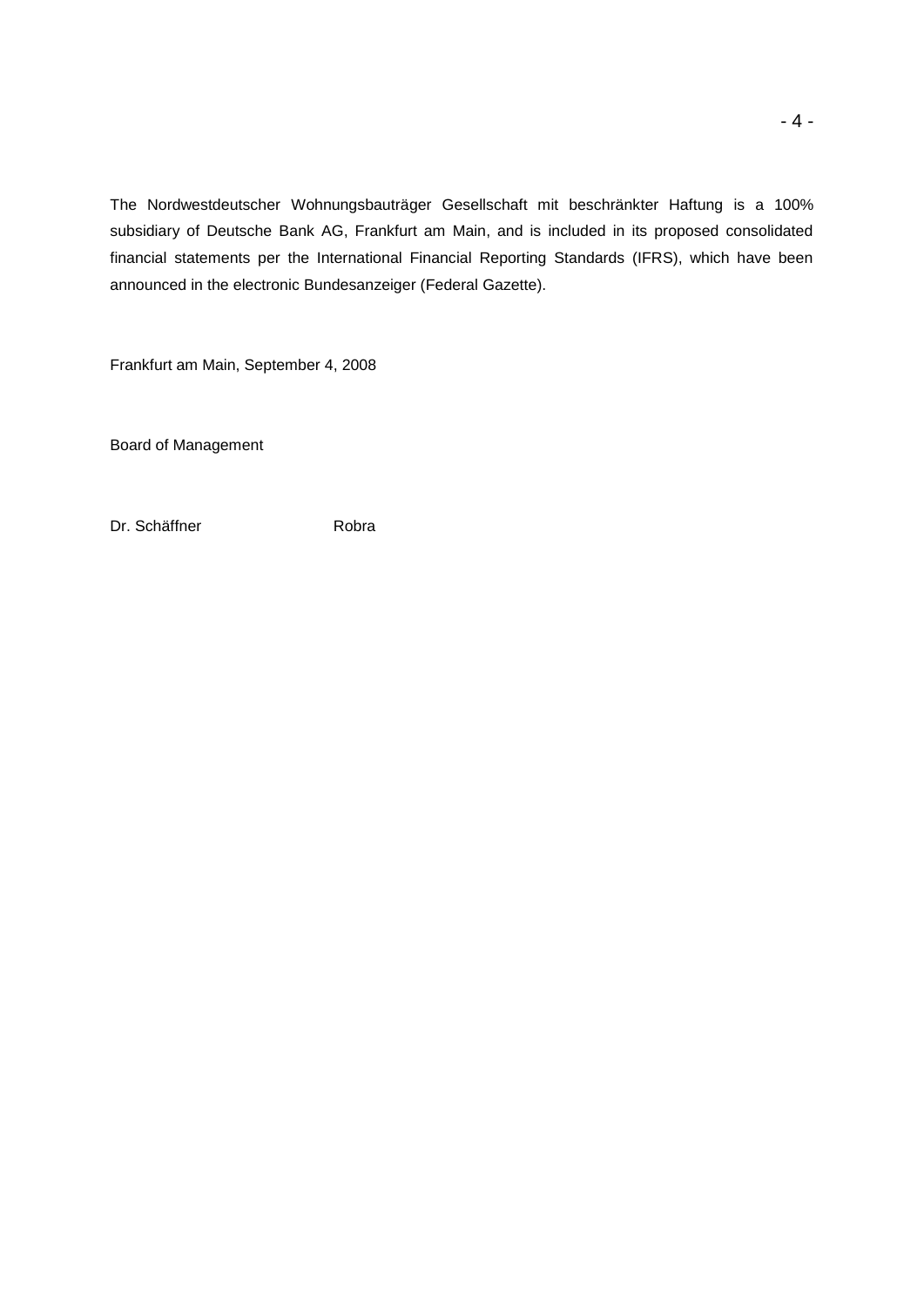The Nordwestdeutscher Wohnungsbauträger Gesellschaft mit beschränkter Haftung is a 100% subsidiary of Deutsche Bank AG, Frankfurt am Main, and is included in its proposed consolidated financial statements per the International Financial Reporting Standards (IFRS), which have been announced in the electronic Bundesanzeiger (Federal Gazette).

Frankfurt am Main, September 4, 2008

Board of Management

Dr. Schäffner **Robra**